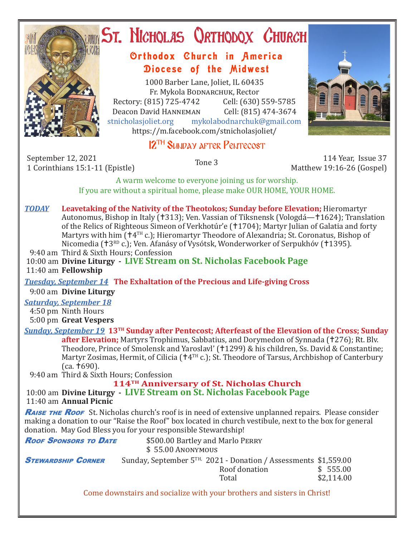

# **ST. NICHOLAS QRTHODOX CHURCH**

## Orthodox Church in America Diocese of the Midwest

1000 Barber Lane, Joliet, IL 60435 Fr. Mykola Bodnarchuk, Rector Rectory: (815) 725-4742 Cell: (630) 559-5785<br>Deacon David HANNEMAN Cell: (815) 474-3674 Deacon David Hanneman<br>stnicholasioliet.org mykola mykolabodnarchuk@gmail.com https://m.facebook.com/stnicholasjoliet/



# 12<sup>TH</sup> SUNDAY AFTER PENTECOST

September 12, 2021 114 Year, Issue 37 114 Year, Issue 37<br>1 Corinthians 15:1-11 (Epistle) 1 114 Year, Issue 37 114 Year, Issue 37

Matthew 19:16-26 (Gospel)

A warm welcome to everyone joining us for worship. If you are without a spiritual home, please make OUR HOME, YOUR HOME.

## *TODAY* **Leavetaking of the Nativity of the Theotokos; Sunday before Elevation;** Hieromartyr Autonomus, Bishop in Italy († 313); Ven. Vassian of Tiksnensk (Vologdá - † 1624); Translation of the Relics of Righteous Simeon of Verkhotúr'e (†1704); Martyr Julian of Galatia and forty Martyrs with him  $(\dagger 4^{TH} c.)$ ; Hieromartyr Theodore of Alexandria; St. Coronatus, Bishop of Nicomedia (†3RD c.); Ven. Afanásy of Vysótsk, Wonderworker of Serpukhóv (†1395). 9:40 am Third & Sixth Hours; Confession 10:00 am **Divine Liturgy - LIVE Stream on St. Nicholas Facebook Page** 11:40 am **Fellowship** *Tuesday, September 14* **The Exhaltation of the Precious and Life-giving Cross** 9:00 am **Divine Liturgy** *Saturday, September 18* 4:50 pm Ninth Hours 5:00 pm **Great Vespers** *Sunday, September 19* **13TH Sunday after Pentecost; Afterfeast of the Elevation of the Cross; Sunday after Elevation;** Martyrs Trophimus, Sabbatius, and Dorymedon of Synnada (†276); Rt. Bly. Theodore, Prince of Smolensk and Yaroslavl' (†1299) & his children, Ss. David & Constantine; Martyr Zosimas, Hermit, of Cilicia ( $\uparrow 4^{TH}$  c.); St. Theodore of Tarsus, Archbishop of Canterbury  $(ca.  $\pm 690$ ).$  9:40 am Third & Sixth Hours; Confession **114TH Anniversary of St. Nicholas Church** 10:00 am **Divine Liturgy - LIVE Stream on St. Nicholas Facebook Page** 11:40 am **Annual Picnic RAISE THE ROOF** St. Nicholas church's roof is in need of extensive unplanned repairs. Please consider making a donation to our "Raise the Roof" box located in church vestibule, next to the box for general donation. May God Bless you for your responsible Stewardship! **Roof Sponsors to Date** \$500.00 Bartley and Marlo PERRY \$ 55.00 Anonymous **STEWARDSHIP CORNER** Sunday, September  $5^{TH}$ , 2021 - Donation / Assessments \$1,559.00<br>Roof donation \$ 555.00 Roof donation  $\frac{1}{2}$  555.00 Total \$2.114.00 Come downstairs and socialize with your brothers and sisters in Christ!